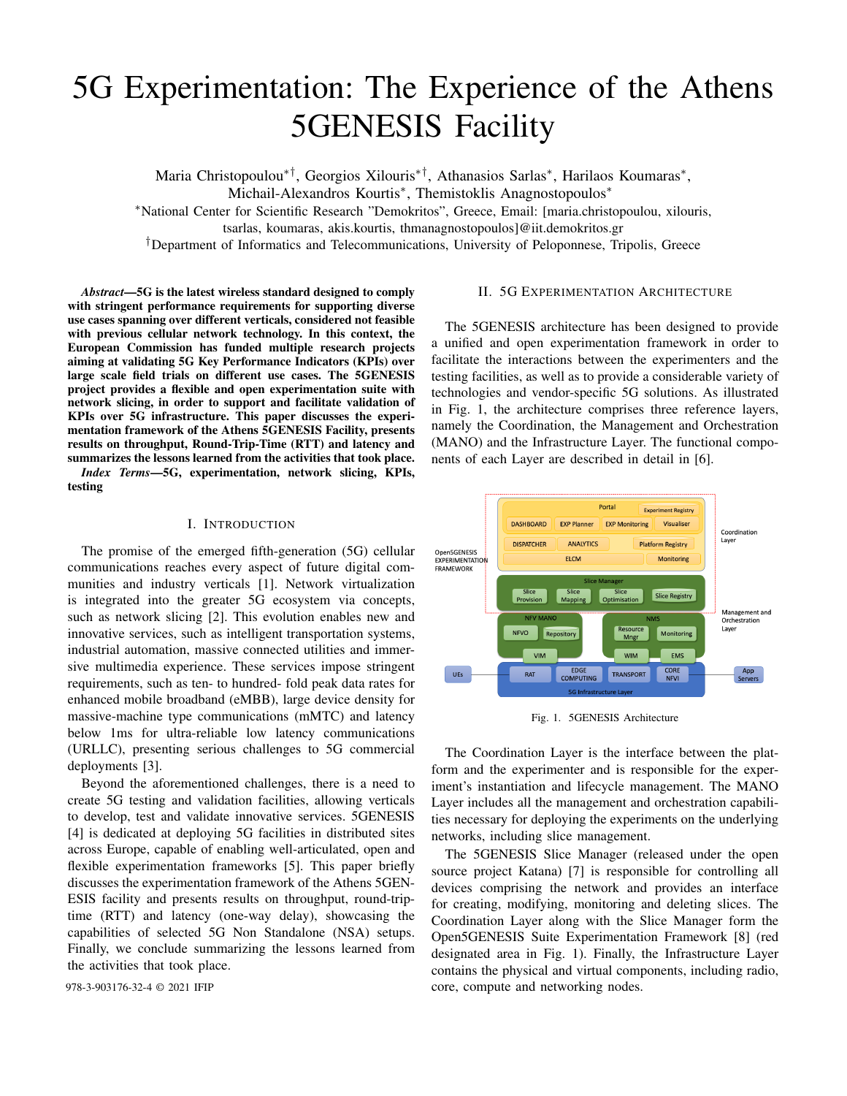# 5G Experimentation: The Experience of the Athens 5GENESIS Facility

Maria Christopoulou∗†, Georgios Xilouris∗†, Athanasios Sarlas<sup>∗</sup> , Harilaos Koumaras<sup>∗</sup> ,

Michail-Alexandros Kourtis<sup>∗</sup> , Themistoklis Anagnostopoulos<sup>∗</sup>

<sup>∗</sup>National Center for Scientific Research "Demokritos", Greece, Email: [maria.christopoulou, xilouris,

tsarlas, koumaras, akis.kourtis, thmanagnostopoulos]@iit.demokritos.gr

†Department of Informatics and Telecommunications, University of Peloponnese, Tripolis, Greece

*Abstract*—5G is the latest wireless standard designed to comply with stringent performance requirements for supporting diverse use cases spanning over different verticals, considered not feasible with previous cellular network technology. In this context, the European Commission has funded multiple research projects aiming at validating 5G Key Performance Indicators (KPIs) over large scale field trials on different use cases. The 5GENESIS project provides a flexible and open experimentation suite with network slicing, in order to support and facilitate validation of KPIs over 5G infrastructure. This paper discusses the experimentation framework of the Athens 5GENESIS Facility, presents results on throughput, Round-Trip-Time (RTT) and latency and summarizes the lessons learned from the activities that took place.

*Index Terms*—5G, experimentation, network slicing, KPIs, testing

# I. INTRODUCTION

The promise of the emerged fifth-generation (5G) cellular communications reaches every aspect of future digital communities and industry verticals [1]. Network virtualization is integrated into the greater 5G ecosystem via concepts, such as network slicing [2]. This evolution enables new and innovative services, such as intelligent transportation systems, industrial automation, massive connected utilities and immersive multimedia experience. These services impose stringent requirements, such as ten- to hundred- fold peak data rates for enhanced mobile broadband (eMBB), large device density for massive-machine type communications (mMTC) and latency below 1ms for ultra-reliable low latency communications (URLLC), presenting serious challenges to 5G commercial deployments [3].

Beyond the aforementioned challenges, there is a need to create 5G testing and validation facilities, allowing verticals to develop, test and validate innovative services. 5GENESIS [4] is dedicated at deploying 5G facilities in distributed sites across Europe, capable of enabling well-articulated, open and flexible experimentation frameworks [5]. This paper briefly discusses the experimentation framework of the Athens 5GEN-ESIS facility and presents results on throughput, round-triptime (RTT) and latency (one-way delay), showcasing the capabilities of selected 5G Non Standalone (NSA) setups. Finally, we conclude summarizing the lessons learned from the activities that took place.

## II. 5G EXPERIMENTATION ARCHITECTURE

The 5GENESIS architecture has been designed to provide a unified and open experimentation framework in order to facilitate the interactions between the experimenters and the testing facilities, as well as to provide a considerable variety of technologies and vendor-specific 5G solutions. As illustrated in Fig. 1, the architecture comprises three reference layers, namely the Coordination, the Management and Orchestration (MANO) and the Infrastructure Layer. The functional components of each Layer are described in detail in [6].



Fig. 1. 5GENESIS Architecture

The Coordination Layer is the interface between the platform and the experimenter and is responsible for the experiment's instantiation and lifecycle management. The MANO Layer includes all the management and orchestration capabilities necessary for deploying the experiments on the underlying networks, including slice management.

The 5GENESIS Slice Manager (released under the open source project Katana) [7] is responsible for controlling all devices comprising the network and provides an interface for creating, modifying, monitoring and deleting slices. The Coordination Layer along with the Slice Manager form the Open5GENESIS Suite Experimentation Framework [8] (red designated area in Fig. 1). Finally, the Infrastructure Layer contains the physical and virtual components, including radio, 978-3-903176-32-4 © 2021 IFIP core, compute and networking nodes.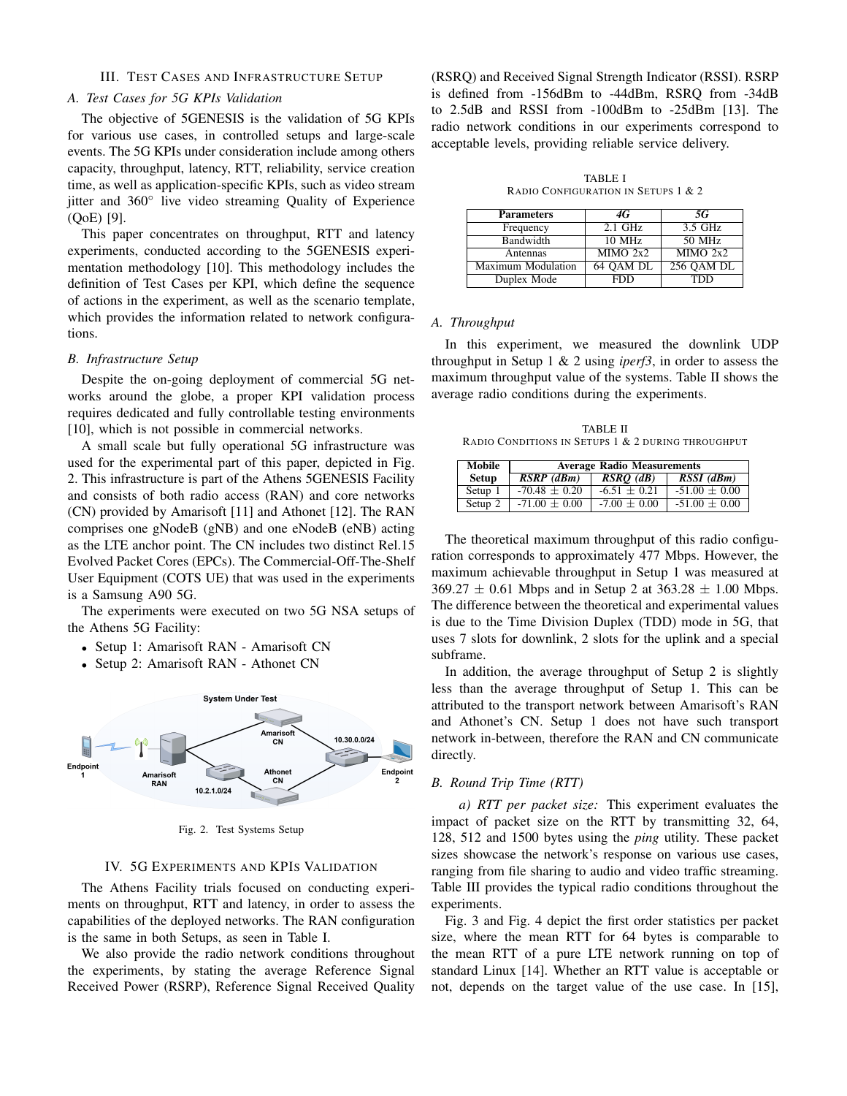# III. TEST CASES AND INFRASTRUCTURE SETUP

# *A. Test Cases for 5G KPIs Validation*

The objective of 5GENESIS is the validation of 5G KPIs for various use cases, in controlled setups and large-scale events. The 5G KPIs under consideration include among others capacity, throughput, latency, RTT, reliability, service creation time, as well as application-specific KPIs, such as video stream jitter and 360◦ live video streaming Quality of Experience (QoE) [9].

This paper concentrates on throughput, RTT and latency experiments, conducted according to the 5GENESIS experimentation methodology [10]. This methodology includes the definition of Test Cases per KPI, which define the sequence of actions in the experiment, as well as the scenario template, which provides the information related to network configurations.

#### *B. Infrastructure Setup*

Despite the on-going deployment of commercial 5G networks around the globe, a proper KPI validation process requires dedicated and fully controllable testing environments [10], which is not possible in commercial networks.

A small scale but fully operational 5G infrastructure was used for the experimental part of this paper, depicted in Fig. 2. This infrastructure is part of the Athens 5GENESIS Facility and consists of both radio access (RAN) and core networks (CN) provided by Amarisoft [11] and Athonet [12]. The RAN comprises one gNodeB (gNB) and one eNodeB (eNB) acting as the LTE anchor point. The CN includes two distinct Rel.15 Evolved Packet Cores (EPCs). The Commercial-Off-The-Shelf User Equipment (COTS UE) that was used in the experiments is a Samsung A90 5G.

The experiments were executed on two 5G NSA setups of the Athens 5G Facility:

- Setup 1: Amarisoft RAN Amarisoft CN
- Setup 2: Amarisoft RAN Athonet CN



Fig. 2. Test Systems Setup

## IV. 5G EXPERIMENTS AND KPIS VALIDATION

The Athens Facility trials focused on conducting experiments on throughput, RTT and latency, in order to assess the capabilities of the deployed networks. The RAN configuration is the same in both Setups, as seen in Table I.

We also provide the radio network conditions throughout the experiments, by stating the average Reference Signal Received Power (RSRP), Reference Signal Received Quality

(RSRQ) and Received Signal Strength Indicator (RSSI). RSRP is defined from -156dBm to -44dBm, RSRQ from -34dB to 2.5dB and RSSI from -100dBm to -25dBm [13]. The radio network conditions in our experiments correspond to acceptable levels, providing reliable service delivery.

TABLE I RADIO CONFIGURATION IN SETUPS 1 & 2

| <b>Parameters</b>  | 4G         | 5G         |
|--------------------|------------|------------|
| Frequency          | $2.1$ GHz  | 3.5 GHz    |
| Bandwidth          | 10 MHz     | 50 MHz     |
| Antennas           | MIMO 2x2   | MIMO 2x2   |
| Maximum Modulation | 64 OAM DL  | 256 QAM DL |
| Duplex Mode        | <b>FDD</b> | TDD        |

#### *A. Throughput*

In this experiment, we measured the downlink UDP throughput in Setup 1 & 2 using *iperf3*, in order to assess the maximum throughput value of the systems. Table II shows the average radio conditions during the experiments.

TABLE II RADIO CONDITIONS IN SETUPS 1 & 2 DURING THROUGHPUT

| <b>Mobile</b> | <b>Average Radio Measurements</b> |                  |                   |
|---------------|-----------------------------------|------------------|-------------------|
| <b>Setup</b>  | $\overline{RSRP}(dBm)$            | $RSRO$ (dB)      | $RSSI$ ( $dBm$ )  |
| Setup $1$     | $-70.48 + 0.20$                   | $-6.51 + 0.21$   | $-51.00 + 0.00$   |
| Setup 2       | $-71.00 \pm 0.00$                 | $-7.00 \pm 0.00$ | $-51.00 \pm 0.00$ |

The theoretical maximum throughput of this radio configuration corresponds to approximately 477 Mbps. However, the maximum achievable throughput in Setup 1 was measured at  $369.27 \pm 0.61$  Mbps and in Setup 2 at  $363.28 \pm 1.00$  Mbps. The difference between the theoretical and experimental values is due to the Time Division Duplex (TDD) mode in 5G, that uses 7 slots for downlink, 2 slots for the uplink and a special subframe.

In addition, the average throughput of Setup 2 is slightly less than the average throughput of Setup 1. This can be attributed to the transport network between Amarisoft's RAN and Athonet's CN. Setup 1 does not have such transport network in-between, therefore the RAN and CN communicate directly.

## *B. Round Trip Time (RTT)*

*a) RTT per packet size:* This experiment evaluates the impact of packet size on the RTT by transmitting 32, 64, 128, 512 and 1500 bytes using the *ping* utility. These packet sizes showcase the network's response on various use cases, ranging from file sharing to audio and video traffic streaming. Table III provides the typical radio conditions throughout the experiments.

Fig. 3 and Fig. 4 depict the first order statistics per packet size, where the mean RTT for 64 bytes is comparable to the mean RTT of a pure LTE network running on top of standard Linux [14]. Whether an RTT value is acceptable or not, depends on the target value of the use case. In [15],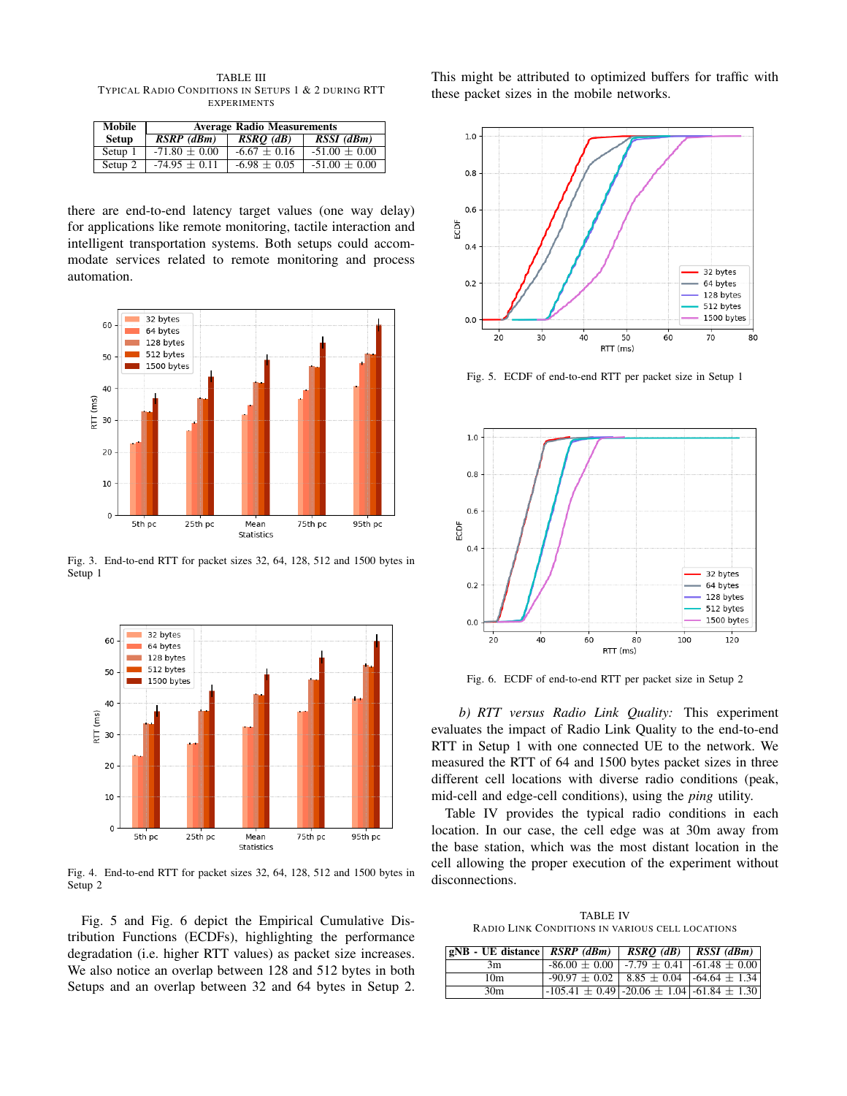TABLE III TYPICAL RADIO CONDITIONS IN SETUPS 1 & 2 DURING RTT EXPERIMENTS

| Mobile       | <b>Average Radio Measurements</b> |                  |                   |
|--------------|-----------------------------------|------------------|-------------------|
| <b>Setup</b> | $\overline{RSRP}$ (dBm)           | $RSRO$ (dB)      | $RSSI$ (dBm)      |
| Setup 1      | $-71.80 + 0.00$                   | $-6.67 + 0.16$   | $-51.00 \pm 0.00$ |
| Setup 2      | $-74.95 + 0.11$                   | $-6.98 \pm 0.05$ | $-51.00 \pm 0.00$ |

there are end-to-end latency target values (one way delay) for applications like remote monitoring, tactile interaction and intelligent transportation systems. Both setups could accommodate services related to remote monitoring and process automation.



Fig. 3. End-to-end RTT for packet sizes 32, 64, 128, 512 and 1500 bytes in Setup 1



Fig. 4. End-to-end RTT for packet sizes 32, 64, 128, 512 and 1500 bytes in Setup 2

Fig. 5 and Fig. 6 depict the Empirical Cumulative Distribution Functions (ECDFs), highlighting the performance degradation (i.e. higher RTT values) as packet size increases. We also notice an overlap between 128 and 512 bytes in both Setups and an overlap between 32 and 64 bytes in Setup 2. This might be attributed to optimized buffers for traffic with these packet sizes in the mobile networks.



Fig. 5. ECDF of end-to-end RTT per packet size in Setup 1



Fig. 6. ECDF of end-to-end RTT per packet size in Setup 2

*b) RTT versus Radio Link Quality:* This experiment evaluates the impact of Radio Link Quality to the end-to-end RTT in Setup 1 with one connected UE to the network. We measured the RTT of 64 and 1500 bytes packet sizes in three different cell locations with diverse radio conditions (peak, mid-cell and edge-cell conditions), using the *ping* utility.

Table IV provides the typical radio conditions in each location. In our case, the cell edge was at 30m away from the base station, which was the most distant location in the cell allowing the proper execution of the experiment without disconnections.

TABLE IV RADIO LINK CONDITIONS IN VARIOUS CELL LOCATIONS

| $ gNB - UE distance $ <i>RSRP</i> ( <i>dBm</i> ) |                                                          | $RSRO$ (dB)   $RSSI$ (dBm) |
|--------------------------------------------------|----------------------------------------------------------|----------------------------|
| 3m                                               | $-86.00 \pm 0.00$   $-7.79 \pm 0.41$   $-61.48 \pm 0.00$ |                            |
| 10 <sub>m</sub>                                  | $-90.97 \pm 0.02$   8.85 $\pm$ 0.04   -64.64 $\pm$ 1.34  |                            |
| 30 <sub>m</sub>                                  | $-105.41 \pm 0.49$ $-20.06 \pm 1.04$ $-61.84 \pm 1.30$   |                            |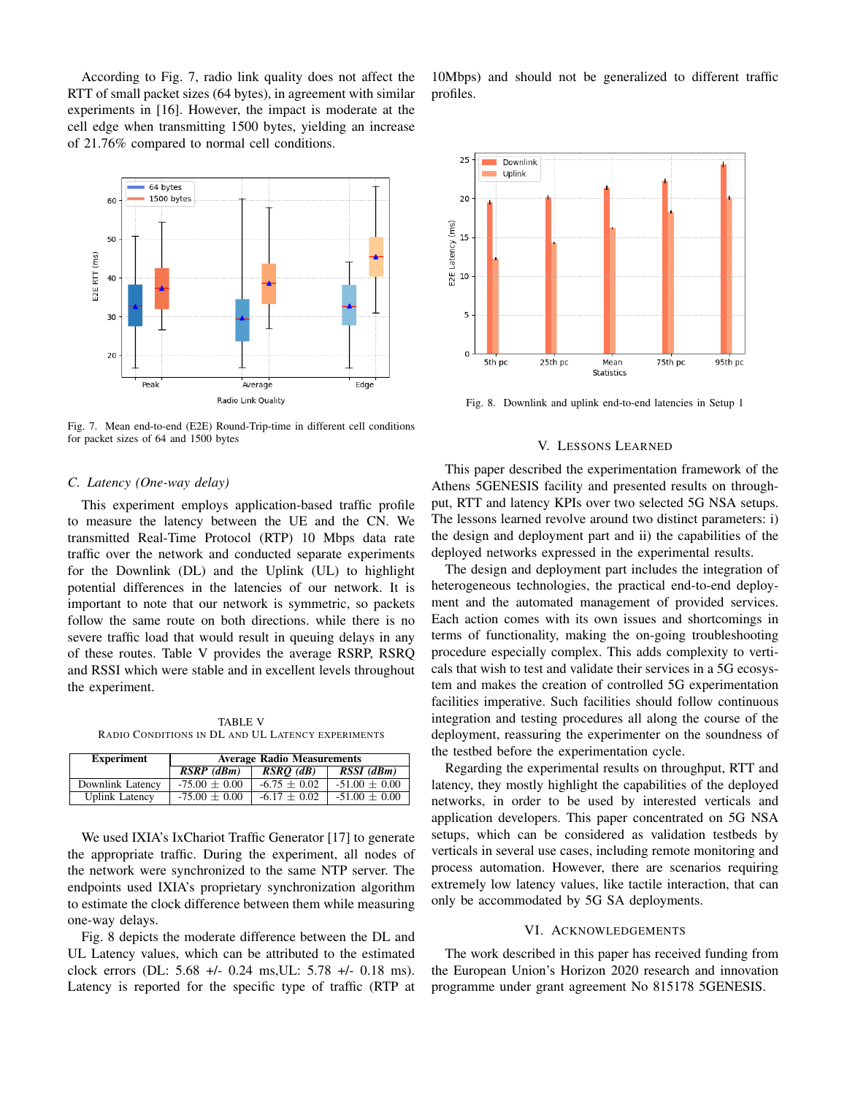According to Fig. 7, radio link quality does not affect the RTT of small packet sizes (64 bytes), in agreement with similar experiments in [16]. However, the impact is moderate at the cell edge when transmitting 1500 bytes, yielding an increase of 21.76% compared to normal cell conditions.



Fig. 7. Mean end-to-end (E2E) Round-Trip-time in different cell conditions for packet sizes of 64 and 1500 bytes

## *C. Latency (One-way delay)*

This experiment employs application-based traffic profile to measure the latency between the UE and the CN. We transmitted Real-Time Protocol (RTP) 10 Mbps data rate traffic over the network and conducted separate experiments for the Downlink (DL) and the Uplink (UL) to highlight potential differences in the latencies of our network. It is important to note that our network is symmetric, so packets follow the same route on both directions. while there is no severe traffic load that would result in queuing delays in any of these routes. Table V provides the average RSRP, RSRQ and RSSI which were stable and in excellent levels throughout the experiment.

TABLE V RADIO CONDITIONS IN DL AND UL LATENCY EXPERIMENTS

| <b>Experiment</b>     | <b>Average Radio Measurements</b> |                  |                   |
|-----------------------|-----------------------------------|------------------|-------------------|
|                       | $\overline{RSRP}$ (dBm)           | $RSRO$ (dB)      | RSSI (dBm)        |
| Downlink Latency      | $-75.00 \pm 0.00$                 | $-6.75 \pm 0.02$ | $-51.00 \pm 0.00$ |
| <b>Uplink Latency</b> | $-75.00 \pm 0.00$                 | $-6.17 \pm 0.02$ | $-51.00 \pm 0.00$ |

We used IXIA's IxChariot Traffic Generator [17] to generate the appropriate traffic. During the experiment, all nodes of the network were synchronized to the same NTP server. The endpoints used IXIA's proprietary synchronization algorithm to estimate the clock difference between them while measuring one-way delays.

Fig. 8 depicts the moderate difference between the DL and UL Latency values, which can be attributed to the estimated clock errors (DL: 5.68 +/- 0.24 ms,UL: 5.78 +/- 0.18 ms). Latency is reported for the specific type of traffic (RTP at

10Mbps) and should not be generalized to different traffic profiles.



Fig. 8. Downlink and uplink end-to-end latencies in Setup 1

#### V. LESSONS LEARNED

This paper described the experimentation framework of the Athens 5GENESIS facility and presented results on throughput, RTT and latency KPIs over two selected 5G NSA setups. The lessons learned revolve around two distinct parameters: i) the design and deployment part and ii) the capabilities of the deployed networks expressed in the experimental results.

The design and deployment part includes the integration of heterogeneous technologies, the practical end-to-end deployment and the automated management of provided services. Each action comes with its own issues and shortcomings in terms of functionality, making the on-going troubleshooting procedure especially complex. This adds complexity to verticals that wish to test and validate their services in a 5G ecosystem and makes the creation of controlled 5G experimentation facilities imperative. Such facilities should follow continuous integration and testing procedures all along the course of the deployment, reassuring the experimenter on the soundness of the testbed before the experimentation cycle.

Regarding the experimental results on throughput, RTT and latency, they mostly highlight the capabilities of the deployed networks, in order to be used by interested verticals and application developers. This paper concentrated on 5G NSA setups, which can be considered as validation testbeds by verticals in several use cases, including remote monitoring and process automation. However, there are scenarios requiring extremely low latency values, like tactile interaction, that can only be accommodated by 5G SA deployments.

# VI. ACKNOWLEDGEMENTS

The work described in this paper has received funding from the European Union's Horizon 2020 research and innovation programme under grant agreement No 815178 5GENESIS.